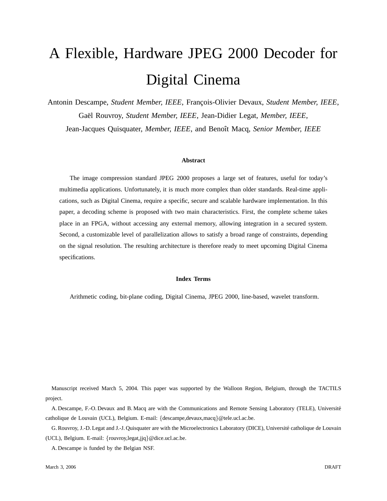# A Flexible, Hardware JPEG 2000 Decoder for Digital Cinema

Antonin Descampe, *Student Member, IEEE*, François-Olivier Devaux, *Student Member, IEEE*, Gaël Rouvroy, *Student Member, IEEE*, Jean-Didier Legat, *Member, IEEE*,

Jean-Jacques Quisquater, *Member, IEEE*, and Benoˆıt Macq, *Senior Member, IEEE*

#### **Abstract**

The image compression standard JPEG 2000 proposes a large set of features, useful for today's multimedia applications. Unfortunately, it is much more complex than older standards. Real-time applications, such as Digital Cinema, require a specific, secure and scalable hardware implementation. In this paper, a decoding scheme is proposed with two main characteristics. First, the complete scheme takes place in an FPGA, without accessing any external memory, allowing integration in a secured system. Second, a customizable level of parallelization allows to satisfy a broad range of constraints, depending on the signal resolution. The resulting architecture is therefore ready to meet upcoming Digital Cinema specifications.

### **Index Terms**

Arithmetic coding, bit-plane coding, Digital Cinema, JPEG 2000, line-based, wavelet transform.

Manuscript received March 5, 2004. This paper was supported by the Walloon Region, Belgium, through the TACTILS project.

A. Descampe, F.-O. Devaux and B. Macq are with the Communications and Remote Sensing Laboratory (TELE), Université catholique de Louvain (UCL), Belgium. E-mail: {descampe,devaux,macq}@tele.ucl.ac.be.

G. Rouvroy, J.-D. Legat and J.-J. Quisquater are with the Microelectronics Laboratory (DICE), Université catholique de Louvain (UCL), Belgium. E-mail: {rouvroy,legat,jjq}@dice.ucl.ac.be.

A. Descampe is funded by the Belgian NSF.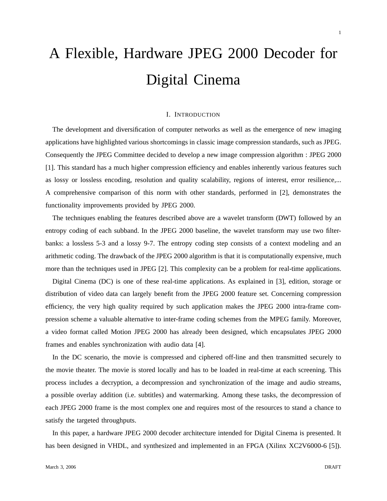# A Flexible, Hardware JPEG 2000 Decoder for Digital Cinema

# I. INTRODUCTION

The development and diversification of computer networks as well as the emergence of new imaging applications have highlighted various shortcomings in classic image compression standards, such as JPEG. Consequently the JPEG Committee decided to develop a new image compression algorithm : JPEG 2000 [1]. This standard has a much higher compression efficiency and enables inherently various features such as lossy or lossless encoding, resolution and quality scalability, regions of interest, error resilience,... A comprehensive comparison of this norm with other standards, performed in [2], demonstrates the functionality improvements provided by JPEG 2000.

The techniques enabling the features described above are a wavelet transform (DWT) followed by an entropy coding of each subband. In the JPEG 2000 baseline, the wavelet transform may use two filterbanks: a lossless 5-3 and a lossy 9-7. The entropy coding step consists of a context modeling and an arithmetic coding. The drawback of the JPEG 2000 algorithm is that it is computationally expensive, much more than the techniques used in JPEG [2]. This complexity can be a problem for real-time applications.

Digital Cinema (DC) is one of these real-time applications. As explained in [3], edition, storage or distribution of video data can largely benefit from the JPEG 2000 feature set. Concerning compression efficiency, the very high quality required by such application makes the JPEG 2000 intra-frame compression scheme a valuable alternative to inter-frame coding schemes from the MPEG family. Moreover, a video format called Motion JPEG 2000 has already been designed, which encapsulates JPEG 2000 frames and enables synchronization with audio data [4].

In the DC scenario, the movie is compressed and ciphered off-line and then transmitted securely to the movie theater. The movie is stored locally and has to be loaded in real-time at each screening. This process includes a decryption, a decompression and synchronization of the image and audio streams, a possible overlay addition (i.e. subtitles) and watermarking. Among these tasks, the decompression of each JPEG 2000 frame is the most complex one and requires most of the resources to stand a chance to satisfy the targeted throughputs.

In this paper, a hardware JPEG 2000 decoder architecture intended for Digital Cinema is presented. It has been designed in VHDL, and synthesized and implemented in an FPGA (Xilinx XC2V6000-6 [5]).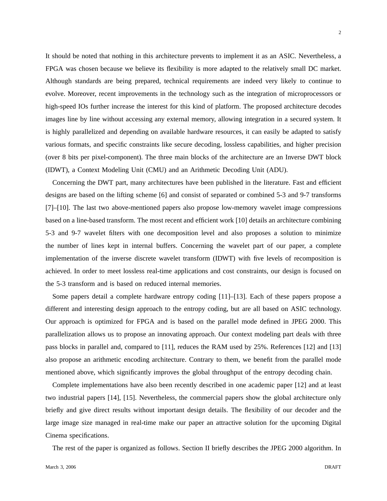$\mathfrak{D}$ 

It should be noted that nothing in this architecture prevents to implement it as an ASIC. Nevertheless, a FPGA was chosen because we believe its flexibility is more adapted to the relatively small DC market. Although standards are being prepared, technical requirements are indeed very likely to continue to evolve. Moreover, recent improvements in the technology such as the integration of microprocessors or high-speed IOs further increase the interest for this kind of platform. The proposed architecture decodes images line by line without accessing any external memory, allowing integration in a secured system. It is highly parallelized and depending on available hardware resources, it can easily be adapted to satisfy various formats, and specific constraints like secure decoding, lossless capabilities, and higher precision (over 8 bits per pixel-component). The three main blocks of the architecture are an Inverse DWT block (IDWT), a Context Modeling Unit (CMU) and an Arithmetic Decoding Unit (ADU).

Concerning the DWT part, many architectures have been published in the literature. Fast and efficient designs are based on the lifting scheme [6] and consist of separated or combined 5-3 and 9-7 transforms [7]–[10]. The last two above-mentioned papers also propose low-memory wavelet image compressions based on a line-based transform. The most recent and efficient work [10] details an architecture combining 5-3 and 9-7 wavelet filters with one decomposition level and also proposes a solution to minimize the number of lines kept in internal buffers. Concerning the wavelet part of our paper, a complete implementation of the inverse discrete wavelet transform (IDWT) with five levels of recomposition is achieved. In order to meet lossless real-time applications and cost constraints, our design is focused on the 5-3 transform and is based on reduced internal memories.

Some papers detail a complete hardware entropy coding [11]–[13]. Each of these papers propose a different and interesting design approach to the entropy coding, but are all based on ASIC technology. Our approach is optimized for FPGA and is based on the parallel mode defined in JPEG 2000. This parallelization allows us to propose an innovating approach. Our context modeling part deals with three pass blocks in parallel and, compared to [11], reduces the RAM used by 25%. References [12] and [13] also propose an arithmetic encoding architecture. Contrary to them, we benefit from the parallel mode mentioned above, which significantly improves the global throughput of the entropy decoding chain.

Complete implementations have also been recently described in one academic paper [12] and at least two industrial papers [14], [15]. Nevertheless, the commercial papers show the global architecture only briefly and give direct results without important design details. The flexibility of our decoder and the large image size managed in real-time make our paper an attractive solution for the upcoming Digital Cinema specifications.

The rest of the paper is organized as follows. Section II briefly describes the JPEG 2000 algorithm. In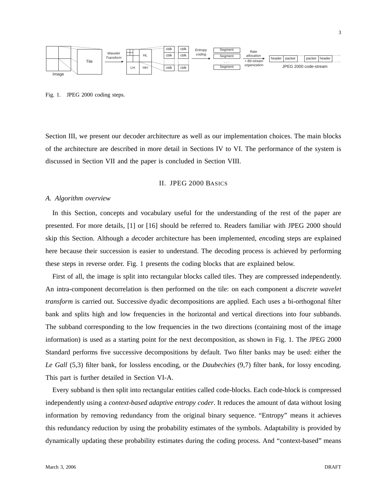

Fig. 1. JPEG 2000 coding steps.

Section III, we present our decoder architecture as well as our implementation choices. The main blocks of the architecture are described in more detail in Sections IV to VI. The performance of the system is discussed in Section VII and the paper is concluded in Section VIII.

#### II. JPEG 2000 BASICS

## *A. Algorithm overview*

In this Section, concepts and vocabulary useful for the understanding of the rest of the paper are presented. For more details, [1] or [16] should be referred to. Readers familiar with JPEG 2000 should skip this Section. Although a *de*coder architecture has been implemented, *en*coding steps are explained here because their succession is easier to understand. The decoding process is achieved by performing these steps in reverse order. Fig. 1 presents the coding blocks that are explained below.

First of all, the image is split into rectangular blocks called tiles. They are compressed independently. An intra-component decorrelation is then performed on the tile: on each component a *discrete wavelet transform* is carried out. Successive dyadic decompositions are applied. Each uses a bi-orthogonal filter bank and splits high and low frequencies in the horizontal and vertical directions into four subbands. The subband corresponding to the low frequencies in the two directions (containing most of the image information) is used as a starting point for the next decomposition, as shown in Fig. 1. The JPEG 2000 Standard performs five successive decompositions by default. Two filter banks may be used: either the *Le Gall* (5,3) filter bank, for lossless encoding, or the *Daubechies* (9,7) filter bank, for lossy encoding. This part is further detailed in Section VI-A.

Every subband is then split into rectangular entities called code-blocks. Each code-block is compressed independently using a *context-based adaptive entropy coder*. It reduces the amount of data without losing information by removing redundancy from the original binary sequence. "Entropy" means it achieves this redundancy reduction by using the probability estimates of the symbols. Adaptability is provided by dynamically updating these probability estimates during the coding process. And "context-based" means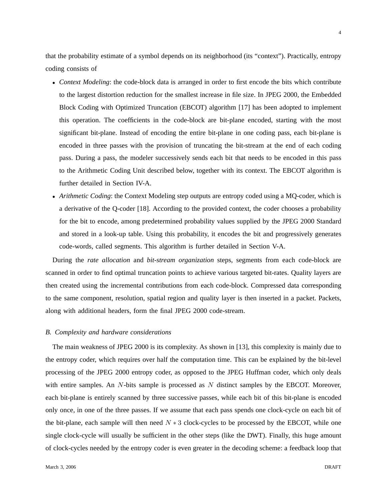that the probability estimate of a symbol depends on its neighborhood (its "context"). Practically, entropy coding consists of

- *Context Modeling*: the code-block data is arranged in order to first encode the bits which contribute to the largest distortion reduction for the smallest increase in file size. In JPEG 2000, the Embedded Block Coding with Optimized Truncation (EBCOT) algorithm [17] has been adopted to implement this operation. The coefficients in the code-block are bit-plane encoded, starting with the most significant bit-plane. Instead of encoding the entire bit-plane in one coding pass, each bit-plane is encoded in three passes with the provision of truncating the bit-stream at the end of each coding pass. During a pass, the modeler successively sends each bit that needs to be encoded in this pass to the Arithmetic Coding Unit described below, together with its context. The EBCOT algorithm is further detailed in Section IV-A.
- *Arithmetic Coding*: the Context Modeling step outputs are entropy coded using a MQ-coder, which is a derivative of the Q-coder [18]. According to the provided context, the coder chooses a probability for the bit to encode, among predetermined probability values supplied by the JPEG 2000 Standard and stored in a look-up table. Using this probability, it encodes the bit and progressively generates code-words, called segments. This algorithm is further detailed in Section V-A.

During the *rate allocation* and *bit-stream organization* steps, segments from each code-block are scanned in order to find optimal truncation points to achieve various targeted bit-rates. Quality layers are then created using the incremental contributions from each code-block. Compressed data corresponding to the same component, resolution, spatial region and quality layer is then inserted in a packet. Packets, along with additional headers, form the final JPEG 2000 code-stream.

#### *B. Complexity and hardware considerations*

The main weakness of JPEG 2000 is its complexity. As shown in [13], this complexity is mainly due to the entropy coder, which requires over half the computation time. This can be explained by the bit-level processing of the JPEG 2000 entropy coder, as opposed to the JPEG Huffman coder, which only deals with entire samples. An N-bits sample is processed as N distinct samples by the EBCOT. Moreover, each bit-plane is entirely scanned by three successive passes, while each bit of this bit-plane is encoded only once, in one of the three passes. If we assume that each pass spends one clock-cycle on each bit of the bit-plane, each sample will then need  $N \times 3$  clock-cycles to be processed by the EBCOT, while one single clock-cycle will usually be sufficient in the other steps (like the DWT). Finally, this huge amount of clock-cycles needed by the entropy coder is even greater in the decoding scheme: a feedback loop that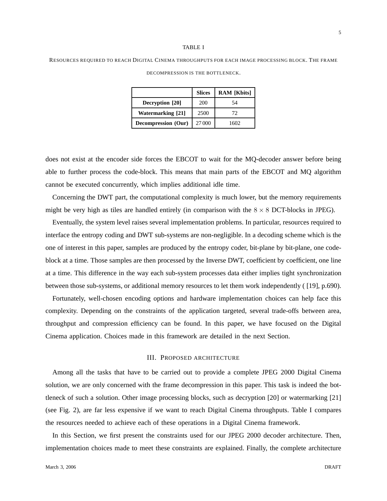#### TABLE I

RESOURCES REQUIRED TO REACH DIGITAL CINEMA THROUGHPUTS FOR EACH IMAGE PROCESSING BLOCK. THE FRAME DECOMPRESSION IS THE BOTTLENECK.

|                          | <b>Slices</b> | <b>RAM</b> [Kbits] |  |
|--------------------------|---------------|--------------------|--|
| Decryption [20]          | 200           | 54                 |  |
| <b>Watermarking</b> [21] | 2500          | 72                 |  |
| Decompression (Our)      | 27 000        | 1602               |  |

does not exist at the encoder side forces the EBCOT to wait for the MQ-decoder answer before being able to further process the code-block. This means that main parts of the EBCOT and MQ algorithm cannot be executed concurrently, which implies additional idle time.

Concerning the DWT part, the computational complexity is much lower, but the memory requirements might be very high as tiles are handled entirely (in comparison with the  $8 \times 8$  DCT-blocks in JPEG).

Eventually, the system level raises several implementation problems. In particular, resources required to interface the entropy coding and DWT sub-systems are non-negligible. In a decoding scheme which is the one of interest in this paper, samples are produced by the entropy coder, bit-plane by bit-plane, one codeblock at a time. Those samples are then processed by the Inverse DWT, coefficient by coefficient, one line at a time. This difference in the way each sub-system processes data either implies tight synchronization between those sub-systems, or additional memory resources to let them work independently ( [19], p.690).

Fortunately, well-chosen encoding options and hardware implementation choices can help face this complexity. Depending on the constraints of the application targeted, several trade-offs between area, throughput and compression efficiency can be found. In this paper, we have focused on the Digital Cinema application. Choices made in this framework are detailed in the next Section.

#### III. PROPOSED ARCHITECTURE

Among all the tasks that have to be carried out to provide a complete JPEG 2000 Digital Cinema solution, we are only concerned with the frame decompression in this paper. This task is indeed the bottleneck of such a solution. Other image processing blocks, such as decryption [20] or watermarking [21] (see Fig. 2), are far less expensive if we want to reach Digital Cinema throughputs. Table I compares the resources needed to achieve each of these operations in a Digital Cinema framework.

In this Section, we first present the constraints used for our JPEG 2000 decoder architecture. Then, implementation choices made to meet these constraints are explained. Finally, the complete architecture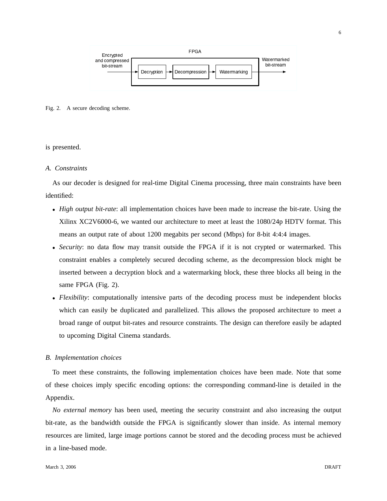

Fig. 2. A secure decoding scheme.

## is presented.

## *A. Constraints*

As our decoder is designed for real-time Digital Cinema processing, three main constraints have been identified:

- *High output bit-rate*: all implementation choices have been made to increase the bit-rate. Using the Xilinx XC2V6000-6, we wanted our architecture to meet at least the 1080/24p HDTV format. This means an output rate of about 1200 megabits per second (Mbps) for 8-bit 4:4:4 images.
- *Security*: no data flow may transit outside the FPGA if it is not crypted or watermarked. This constraint enables a completely secured decoding scheme, as the decompression block might be inserted between a decryption block and a watermarking block, these three blocks all being in the same FPGA (Fig. 2).
- *Flexibility*: computationally intensive parts of the decoding process must be independent blocks which can easily be duplicated and parallelized. This allows the proposed architecture to meet a broad range of output bit-rates and resource constraints. The design can therefore easily be adapted to upcoming Digital Cinema standards.

## *B. Implementation choices*

To meet these constraints, the following implementation choices have been made. Note that some of these choices imply specific encoding options: the corresponding command-line is detailed in the Appendix.

*No external memory* has been used, meeting the security constraint and also increasing the output bit-rate, as the bandwidth outside the FPGA is significantly slower than inside. As internal memory resources are limited, large image portions cannot be stored and the decoding process must be achieved in a line-based mode.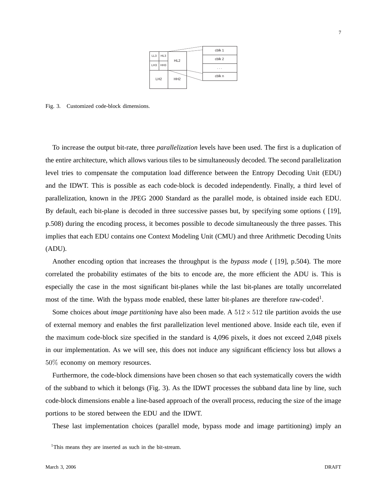Fig. 3. Customized code-block dimensions.

To increase the output bit-rate, three *parallelization* levels have been used. The first is a duplication of the entire architecture, which allows various tiles to be simultaneously decoded. The second parallelization level tries to compensate the computation load difference between the Entropy Decoding Unit (EDU) and the IDWT. This is possible as each code-block is decoded independently. Finally, a third level of parallelization, known in the JPEG 2000 Standard as the parallel mode, is obtained inside each EDU. By default, each bit-plane is decoded in three successive passes but, by specifying some options ( [19], p.508) during the encoding process, it becomes possible to decode simultaneously the three passes. This implies that each EDU contains one Context Modeling Unit (CMU) and three Arithmetic Decoding Units (ADU).

Another encoding option that increases the throughput is the *bypass mode* ( [19], p.504). The more correlated the probability estimates of the bits to encode are, the more efficient the ADU is. This is especially the case in the most significant bit-planes while the last bit-planes are totally uncorrelated most of the time. With the bypass mode enabled, these latter bit-planes are therefore raw-coded<sup>1</sup>.

Some choices about *image partitioning* have also been made. A  $512 \times 512$  tile partition avoids the use of external memory and enables the first parallelization level mentioned above. Inside each tile, even if the maximum code-block size specified in the standard is 4,096 pixels, it does not exceed 2,048 pixels in our implementation. As we will see, this does not induce any significant efficiency loss but allows a 50% economy on memory resources.

Furthermore, the code-block dimensions have been chosen so that each systematically covers the width of the subband to which it belongs (Fig. 3). As the IDWT processes the subband data line by line, such code-block dimensions enable a line-based approach of the overall process, reducing the size of the image portions to be stored between the EDU and the IDWT.

These last implementation choices (parallel mode, bypass mode and image partitioning) imply an

<sup>&</sup>lt;sup>1</sup>This means they are inserted as such in the bit-stream.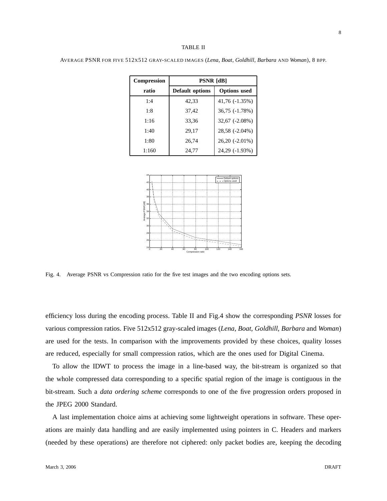AVERAGE PSNR FOR FIVE 512X512 GRAY-SCALED IMAGES (*Lena*, *Boat*, *Goldhill*, *Barbara* AND *Woman*), 8 BPP.

| <b>Compression</b> | <b>PSNR</b> [dB] |                     |  |
|--------------------|------------------|---------------------|--|
| ratio              | Default options  | <b>Options</b> used |  |
| 1:4                | 42,33            | 41,76 (-1.35%)      |  |
| 1:8                | 37,42            | 36,75 (-1.78%)      |  |
| 1:16               | 33,36            | 32,67 (-2.08%)      |  |
| 1:40               | 29,17            | 28,58 (-2.04%)      |  |
| 1:80               | 26,74            | 26,20 (-2.01%)      |  |
| 1:160              | 24,77            | 24,29 (-1.93%)      |  |



Fig. 4. Average PSNR vs Compression ratio for the five test images and the two encoding options sets.

efficiency loss during the encoding process. Table II and Fig.4 show the corresponding *PSNR* losses for various compression ratios. Five 512x512 gray-scaled images (*Lena*, *Boat*, *Goldhill*, *Barbara* and *Woman*) are used for the tests. In comparison with the improvements provided by these choices, quality losses are reduced, especially for small compression ratios, which are the ones used for Digital Cinema.

To allow the IDWT to process the image in a line-based way, the bit-stream is organized so that the whole compressed data corresponding to a specific spatial region of the image is contiguous in the bit-stream. Such a *data ordering scheme* corresponds to one of the five progression orders proposed in the JPEG 2000 Standard.

A last implementation choice aims at achieving some lightweight operations in software. These operations are mainly data handling and are easily implemented using pointers in C. Headers and markers (needed by these operations) are therefore not ciphered: only packet bodies are, keeping the decoding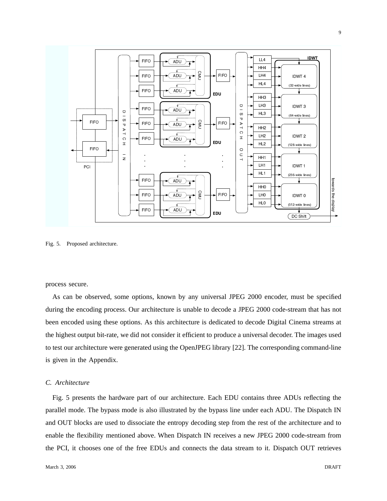

Fig. 5. Proposed architecture.

process secure.

As can be observed, some options, known by any universal JPEG 2000 encoder, must be specified during the encoding process. Our architecture is unable to decode a JPEG 2000 code-stream that has not been encoded using these options. As this architecture is dedicated to decode Digital Cinema streams at the highest output bit-rate, we did not consider it efficient to produce a universal decoder. The images used to test our architecture were generated using the OpenJPEG library [22]. The corresponding command-line is given in the Appendix.

## *C. Architecture*

Fig. 5 presents the hardware part of our architecture. Each EDU contains three ADUs reflecting the parallel mode. The bypass mode is also illustrated by the bypass line under each ADU. The Dispatch IN and OUT blocks are used to dissociate the entropy decoding step from the rest of the architecture and to enable the flexibility mentioned above. When Dispatch IN receives a new JPEG 2000 code-stream from the PCI, it chooses one of the free EDUs and connects the data stream to it. Dispatch OUT retrieves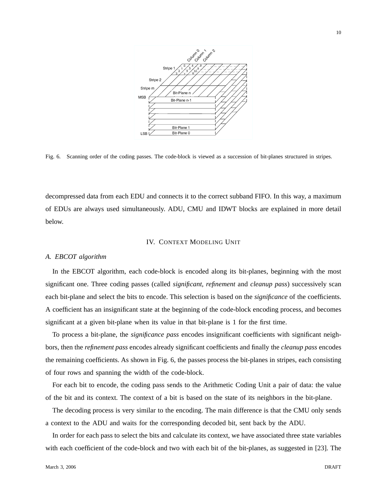

Fig. 6. Scanning order of the coding passes. The code-block is viewed as a succession of bit-planes structured in stripes.

decompressed data from each EDU and connects it to the correct subband FIFO. In this way, a maximum of EDUs are always used simultaneously. ADU, CMU and IDWT blocks are explained in more detail below.

#### IV. CONTEXT MODELING UNIT

## *A. EBCOT algorithm*

In the EBCOT algorithm, each code-block is encoded along its bit-planes, beginning with the most significant one. Three coding passes (called *significant*, *refinement* and *cleanup pass*) successively scan each bit-plane and select the bits to encode. This selection is based on the *significance* of the coefficients. A coefficient has an insignificant state at the beginning of the code-block encoding process, and becomes significant at a given bit-plane when its value in that bit-plane is 1 for the first time.

To process a bit-plane, the *significance pass* encodes insignificant coefficients with significant neighbors, then the *refinement pass* encodes already significant coefficients and finally the *cleanup pass* encodes the remaining coefficients. As shown in Fig. 6, the passes process the bit-planes in stripes, each consisting of four rows and spanning the width of the code-block.

For each bit to encode, the coding pass sends to the Arithmetic Coding Unit a pair of data: the value of the bit and its context. The context of a bit is based on the state of its neighbors in the bit-plane.

The decoding process is very similar to the encoding. The main difference is that the CMU only sends a context to the ADU and waits for the corresponding decoded bit, sent back by the ADU.

In order for each pass to select the bits and calculate its context, we have associated three state variables with each coefficient of the code-block and two with each bit of the bit-planes, as suggested in [23]. The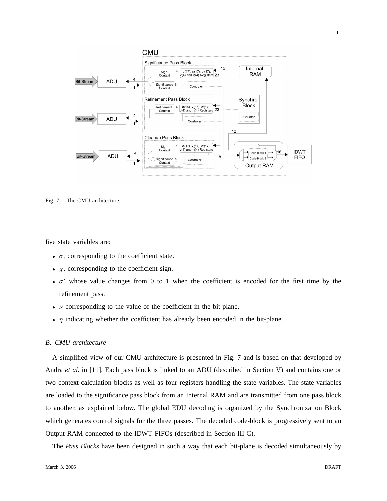

Fig. 7. The CMU architecture.

five state variables are:

- $\bullet$   $\sigma$ , corresponding to the coefficient state.
- $\chi$ , corresponding to the coefficient sign.
- $\sigma'$  whose value changes from 0 to 1 when the coefficient is encoded for the first time by the refinement pass.
- $\nu$  corresponding to the value of the coefficient in the bit-plane.
- $\eta$  indicating whether the coefficient has already been encoded in the bit-plane.

## *B. CMU architecture*

A simplified view of our CMU architecture is presented in Fig. 7 and is based on that developed by Andra *et al.* in [11]. Each pass block is linked to an ADU (described in Section V) and contains one or two context calculation blocks as well as four registers handling the state variables. The state variables are loaded to the significance pass block from an Internal RAM and are transmitted from one pass block to another, as explained below. The global EDU decoding is organized by the Synchronization Block which generates control signals for the three passes. The decoded code-block is progressively sent to an Output RAM connected to the IDWT FIFOs (described in Section III-C).

The *Pass Blocks* have been designed in such a way that each bit-plane is decoded simultaneously by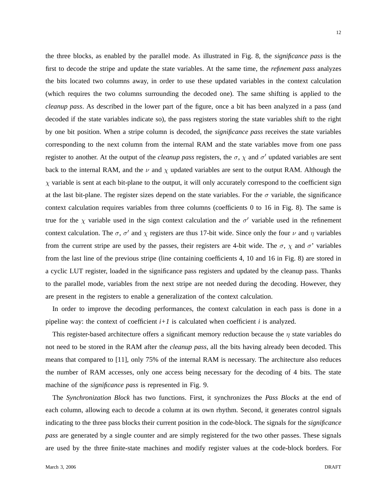the three blocks, as enabled by the parallel mode. As illustrated in Fig. 8, the *significance pass* is the first to decode the stripe and update the state variables. At the same time, the *refinement pass* analyzes the bits located two columns away, in order to use these updated variables in the context calculation (which requires the two columns surrounding the decoded one). The same shifting is applied to the *cleanup pass*. As described in the lower part of the figure, once a bit has been analyzed in a pass (and decoded if the state variables indicate so), the pass registers storing the state variables shift to the right by one bit position. When a stripe column is decoded, the *significance pass* receives the state variables corresponding to the next column from the internal RAM and the state variables move from one pass register to another. At the output of the *cleanup pass* registers, the  $\sigma$ ,  $\chi$  and  $\sigma'$  updated variables are sent back to the internal RAM, and the  $\nu$  and  $\chi$  updated variables are sent to the output RAM. Although the  $\chi$  variable is sent at each bit-plane to the output, it will only accurately correspond to the coefficient sign at the last bit-plane. The register sizes depend on the state variables. For the  $\sigma$  variable, the significance context calculation requires variables from three columns (coefficients 0 to 16 in Fig. 8). The same is true for the  $\chi$  variable used in the sign context calculation and the  $\sigma'$  variable used in the refinement context calculation. The  $\sigma$ ,  $\sigma'$  and  $\chi$  registers are thus 17-bit wide. Since only the four  $\nu$  and  $\eta$  variables from the current stripe are used by the passes, their registers are 4-bit wide. The  $\sigma$ ,  $\chi$  and  $\sigma'$  variables from the last line of the previous stripe (line containing coefficients 4, 10 and 16 in Fig. 8) are stored in a cyclic LUT register, loaded in the significance pass registers and updated by the cleanup pass. Thanks to the parallel mode, variables from the next stripe are not needed during the decoding. However, they are present in the registers to enable a generalization of the context calculation.

In order to improve the decoding performances, the context calculation in each pass is done in a pipeline way: the context of coefficient  $i+1$  is calculated when coefficient  $i$  is analyzed.

This register-based architecture offers a significant memory reduction because the  $\eta$  state variables do not need to be stored in the RAM after the *cleanup pass*, all the bits having already been decoded. This means that compared to [11], only 75% of the internal RAM is necessary. The architecture also reduces the number of RAM accesses, only one access being necessary for the decoding of 4 bits. The state machine of the *significance pass* is represented in Fig. 9.

The *Synchronization Block* has two functions. First, it synchronizes the *Pass Blocks* at the end of each column, allowing each to decode a column at its own rhythm. Second, it generates control signals indicating to the three pass blocks their current position in the code-block. The signals for the *significance pass* are generated by a single counter and are simply registered for the two other passes. These signals are used by the three finite-state machines and modify register values at the code-block borders. For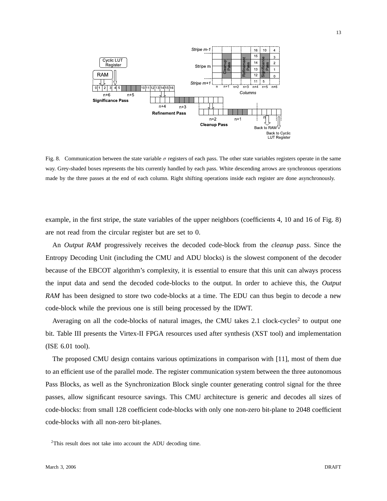

Fig. 8. Communication between the state variable  $\sigma$  registers of each pass. The other state variables registers operate in the same way. Grey-shaded boxes represents the bits currently handled by each pass. White descending arrows are synchronous operations made by the three passes at the end of each column. Right shifting operations inside each register are done asynchronously.

example, in the first stripe, the state variables of the upper neighbors (coefficients 4, 10 and 16 of Fig. 8) are not read from the circular register but are set to 0.

An *Output RAM* progressively receives the decoded code-block from the *cleanup pass*. Since the Entropy Decoding Unit (including the CMU and ADU blocks) is the slowest component of the decoder because of the EBCOT algorithm's complexity, it is essential to ensure that this unit can always process the input data and send the decoded code-blocks to the output. In order to achieve this, the *Output RAM* has been designed to store two code-blocks at a time. The EDU can thus begin to decode a new code-block while the previous one is still being processed by the IDWT.

Averaging on all the code-blocks of natural images, the CMU takes 2.1 clock-cycles<sup>2</sup> to output one bit. Table III presents the Virtex-II FPGA resources used after synthesis (XST tool) and implementation (ISE 6.01 tool).

The proposed CMU design contains various optimizations in comparison with [11], most of them due to an efficient use of the parallel mode. The register communication system between the three autonomous Pass Blocks, as well as the Synchronization Block single counter generating control signal for the three passes, allow significant resource savings. This CMU architecture is generic and decodes all sizes of code-blocks: from small 128 coefficient code-blocks with only one non-zero bit-plane to 2048 coefficient code-blocks with all non-zero bit-planes.

<sup>&</sup>lt;sup>2</sup>This result does not take into account the ADU decoding time.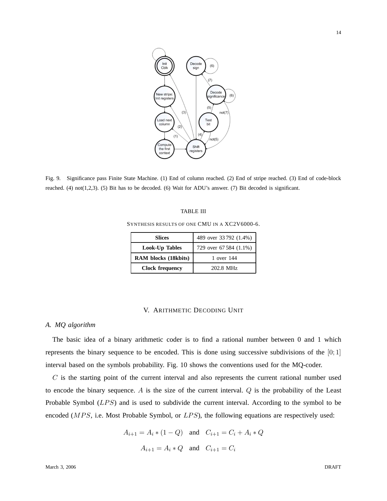

Fig. 9. Significance pass Finite State Machine. (1) End of column reached. (2) End of stripe reached. (3) End of code-block reached. (4) not(1,2,3). (5) Bit has to be decoded. (6) Wait for ADU's answer. (7) Bit decoded is significant.

## TABLE III

SYNTHESIS RESULTS OF ONE CMU IN A XC2V6000-6.

| <b>Slices</b>          | 489 over 33792 (1.4%)  |  |
|------------------------|------------------------|--|
| Look-Up Tables         | 729 over 67 584 (1.1%) |  |
| RAM blocks (18kbits)   | 1 over 144             |  |
| <b>Clock frequency</b> | 202.8 MHz              |  |

## V. ARITHMETIC DECODING UNIT

# *A. MQ algorithm*

The basic idea of a binary arithmetic coder is to find a rational number between 0 and 1 which represents the binary sequence to be encoded. This is done using successive subdivisions of the  $[0,1]$ interval based on the symbols probability. Fig. 10 shows the conventions used for the MQ-coder.

 $C$  is the starting point of the current interval and also represents the current rational number used to encode the binary sequence. A is the size of the current interval.  $Q$  is the probability of the Least Probable Symbol  $(LPS)$  and is used to subdivide the current interval. According to the symbol to be encoded ( $MPS$ , i.e. Most Probable Symbol, or  $LPS$ ), the following equations are respectively used:

$$
A_{i+1} = A_i * (1 - Q)
$$
 and  $C_{i+1} = C_i + A_i * Q$   
 $A_{i+1} = A_i * Q$  and  $C_{i+1} = C_i$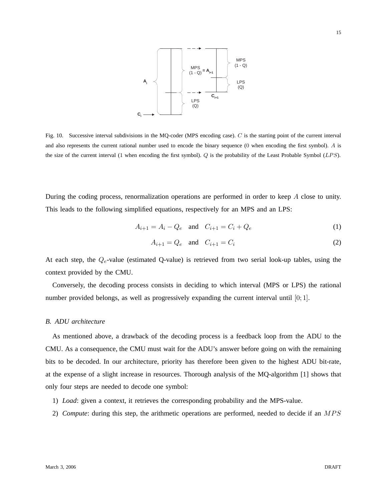

Fig. 10. Successive interval subdivisions in the MQ-coder (MPS encoding case). C is the starting point of the current interval and also represents the current rational number used to encode the binary sequence (0 when encoding the first symbol). A is the size of the current interval (1 when encoding the first symbol).  $Q$  is the probability of the Least Probable Symbol ( $LPS$ ).

During the coding process, renormalization operations are performed in order to keep A close to unity. This leads to the following simplified equations, respectively for an MPS and an LPS:

$$
A_{i+1} = A_i - Q_e \text{ and } C_{i+1} = C_i + Q_e \tag{1}
$$

$$
A_{i+1} = Q_e \quad \text{and} \quad C_{i+1} = C_i \tag{2}
$$

At each step, the  $Q_e$ -value (estimated Q-value) is retrieved from two serial look-up tables, using the context provided by the CMU.

Conversely, the decoding process consists in deciding to which interval (MPS or LPS) the rational number provided belongs, as well as progressively expanding the current interval until  $[0, 1]$ .

## *B. ADU architecture*

As mentioned above, a drawback of the decoding process is a feedback loop from the ADU to the CMU. As a consequence, the CMU must wait for the ADU's answer before going on with the remaining bits to be decoded. In our architecture, priority has therefore been given to the highest ADU bit-rate, at the expense of a slight increase in resources. Thorough analysis of the MQ-algorithm [1] shows that only four steps are needed to decode one symbol:

- 1) *Load*: given a context, it retrieves the corresponding probability and the MPS-value.
- 2) *Compute*: during this step, the arithmetic operations are performed, needed to decide if an MPS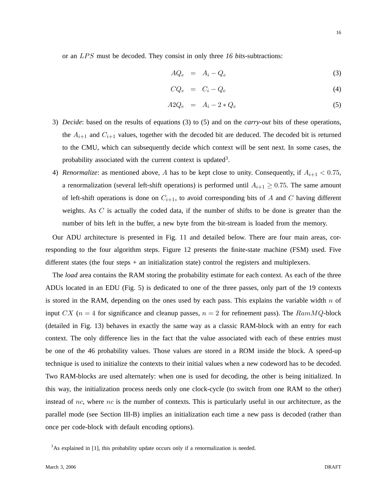or an LPS must be decoded. They consist in only three 16 bits-subtractions:

$$
AQ_e = A_i - Q_e \tag{3}
$$

$$
CQ_e = C_i - Q_e \tag{4}
$$

$$
A2Q_e = A_i - 2 \cdot Q_e \tag{5}
$$

- 3) *Decide*: based on the results of equations (3) to (5) and on the *carry-out* bits of these operations, the  $A_{i+1}$  and  $C_{i+1}$  values, together with the decoded bit are deduced. The decoded bit is returned to the CMU, which can subsequently decide which context will be sent next. In some cases, the probability associated with the current context is updated<sup>3</sup>.
- 4) *Renormalize*: as mentioned above, A has to be kept close to unity. Consequently, if  $A_{i+1} < 0.75$ , a renormalization (several left-shift operations) is performed until  $A_{i+1} \geq 0.75$ . The same amount of left-shift operations is done on  $C_{i+1}$ , to avoid corresponding bits of A and C having different weights. As C is actually the coded data, if the number of shifts to be done is greater than the number of bits left in the buffer, a new byte from the bit-stream is loaded from the memory.

Our ADU architecture is presented in Fig. 11 and detailed below. There are four main areas, corresponding to the four algorithm steps. Figure 12 presents the finite-state machine (FSM) used. Five different states (the four steps + an initialization state) control the registers and multiplexers.

The *load* area contains the RAM storing the probability estimate for each context. As each of the three ADUs located in an EDU (Fig. 5) is dedicated to one of the three passes, only part of the 19 contexts is stored in the RAM, depending on the ones used by each pass. This explains the variable width  $n$  of input CX ( $n = 4$  for significance and cleanup passes,  $n = 2$  for refinement pass). The  $RamMQ$ -block (detailed in Fig. 13) behaves in exactly the same way as a classic RAM-block with an entry for each context. The only difference lies in the fact that the value associated with each of these entries must be one of the 46 probability values. Those values are stored in a ROM inside the block. A speed-up technique is used to initialize the contexts to their initial values when a new codeword has to be decoded. Two RAM-blocks are used alternately: when one is used for decoding, the other is being initialized. In this way, the initialization process needs only one clock-cycle (to switch from one RAM to the other) instead of nc, where nc is the number of contexts. This is particularly useful in our architecture, as the parallel mode (see Section III-B) implies an initialization each time a new pass is decoded (rather than once per code-block with default encoding options).

 $3$ As explained in [1], this probability update occurs only if a renormalization is needed.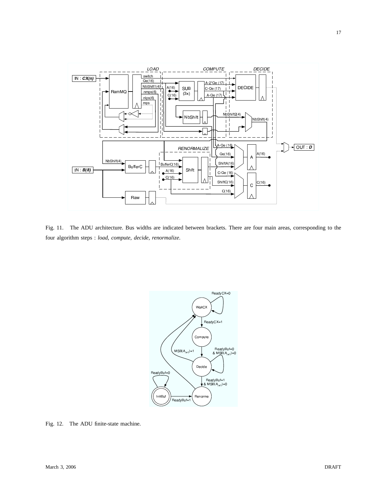

Fig. 11. The ADU architecture. Bus widths are indicated between brackets. There are four main areas, corresponding to the four algorithm steps : *load*, *compute*, *decide*, *renormalize*.



Fig. 12. The ADU finite-state machine.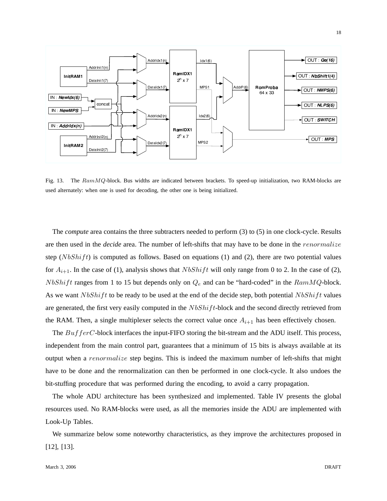

Fig. 13. The RamMQ-block. Bus widths are indicated between brackets. To speed-up initialization, two RAM-blocks are used alternately: when one is used for decoding, the other one is being initialized.

The *compute* area contains the three subtracters needed to perform (3) to (5) in one clock-cycle. Results are then used in the *decide* area. The number of left-shifts that may have to be done in the *renormalize* step ( $N bShift$ ) is computed as follows. Based on equations (1) and (2), there are two potential values for  $A_{i+1}$ . In the case of (1), analysis shows that  $NbShift$  will only range from 0 to 2. In the case of (2),  $N bShift$  ranges from 1 to 15 but depends only on  $Q_e$  and can be "hard-coded" in the  $RamMQ$ -block. As we want  $N bShift$  to be ready to be used at the end of the decide step, both potential  $N bShift$  values are generated, the first very easily computed in the  $NbShift$ -block and the second directly retrieved from the RAM. Then, a single multiplexer selects the correct value once  $A_{i+1}$  has been effectively chosen.

The  $BufferC$ -block interfaces the input-FIFO storing the bit-stream and the ADU itself. This process, independent from the main control part, guarantees that a minimum of 15 bits is always available at its output when a *renormalize* step begins. This is indeed the maximum number of left-shifts that might have to be done and the renormalization can then be performed in one clock-cycle. It also undoes the bit-stuffing procedure that was performed during the encoding, to avoid a carry propagation.

The whole ADU architecture has been synthesized and implemented. Table IV presents the global resources used. No RAM-blocks were used, as all the memories inside the ADU are implemented with Look-Up Tables.

We summarize below some noteworthy characteristics, as they improve the architectures proposed in [12], [13].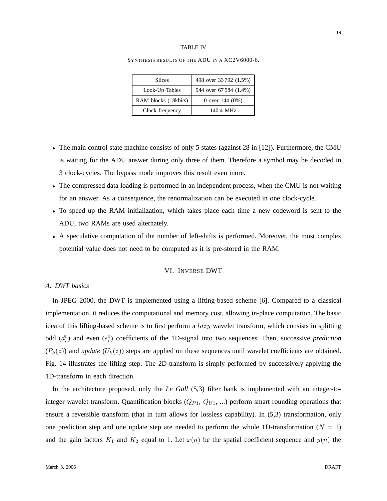## TABLE IV

| <b>Slices</b>        | 498 over 33792 (1.5%)  |  |
|----------------------|------------------------|--|
| Look-Up Tables       | 944 over 67 584 (1.4%) |  |
| RAM blocks (18kbits) | 0 over $144(0%)$       |  |
| Clock frequency      | 140.4 MHz              |  |

#### SYNTHESIS RESULTS OF THE ADU IN A XC2V6000-6.

- The main control state machine consists of only 5 states (against 28 in [12]). Furthermore, the CMU is waiting for the ADU answer during only three of them. Therefore a symbol may be decoded in 3 clock-cycles. The bypass mode improves this result even more.
- The compressed data loading is performed in an independent process, when the CMU is not waiting for an answer. As a consequence, the renormalization can be executed in one clock-cycle.
- To speed up the RAM initialization, which takes place each time a new codeword is sent to the ADU, two RAMs are used alternately.
- A speculative computation of the number of left-shifts is performed. Moreover, the most complex potential value does not need to be computed as it is pre-stored in the RAM.

# VI. INVERSE DWT

# *A. DWT basics*

In JPEG 2000, the DWT is implemented using a lifting-based scheme [6]. Compared to a classical implementation, it reduces the computational and memory cost, allowing in-place computation. The basic idea of this lifting-based scheme is to first perform a  $lazy$  wavelet transform, which consists in splitting odd  $(d_i^0)$  and even  $(s_i^0)$  coefficients of the 1D-signal into two sequences. Then, successive *prediction*  $(P_k(z))$  and *update*  $(U_k(z))$  steps are applied on these sequences until wavelet coefficients are obtained. Fig. 14 illustrates the lifting step. The 2D-transform is simply performed by successively applying the 1D-transform in each direction.

In the architecture proposed, only the *Le Gall* (5,3) filter bank is implemented with an integer-tointeger wavelet transform. Quantification blocks  $(Q_{P1}, Q_{U1}, ...)$  perform smart rounding operations that ensure a reversible transform (that in turn allows for lossless capability). In (5,3) transformation, only one prediction step and one update step are needed to perform the whole 1D-transformation ( $N = 1$ ) and the gain factors  $K_1$  and  $K_2$  equal to 1. Let  $x(n)$  be the spatial coefficient sequence and  $y(n)$  the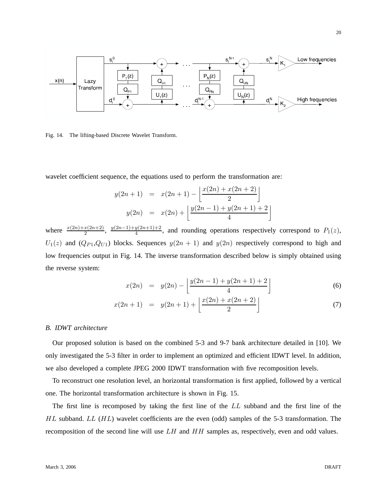

Fig. 14. The lifting-based Discrete Wavelet Transform.

wavelet coefficient sequence, the equations used to perform the transformation are:

$$
y(2n+1) = x(2n+1) - \left[ \frac{x(2n) + x(2n+2)}{2} \right]
$$
  

$$
y(2n) = x(2n) + \left[ \frac{y(2n-1) + y(2n+1) + 2}{4} \right]
$$

where  $\frac{x(2n)+x(2n+2)}{2}$ ,  $\frac{y(2n-1)+y(2n+1)+2}{4}$  $\frac{y_1}{4}$ , and rounding operations respectively correspond to  $P_1(z)$ ,  $U_1(z)$  and  $(Q_{P1}, Q_{U1})$  blocks. Sequences  $y(2n + 1)$  and  $y(2n)$  respectively correspond to high and low frequencies output in Fig. 14. The inverse transformation described below is simply obtained using the reverse system:

$$
x(2n) = y(2n) - \left\lfloor \frac{y(2n-1) + y(2n+1) + 2}{4} \right\rfloor \tag{6}
$$

$$
x(2n+1) = y(2n+1) + \left\lfloor \frac{x(2n) + x(2n+2)}{2} \right\rfloor \tag{7}
$$

### *B. IDWT architecture*

Our proposed solution is based on the combined 5-3 and 9-7 bank architecture detailed in [10]. We only investigated the 5-3 filter in order to implement an optimized and efficient IDWT level. In addition, we also developed a complete JPEG 2000 IDWT transformation with five recomposition levels.

To reconstruct one resolution level, an horizontal transformation is first applied, followed by a vertical one. The horizontal transformation architecture is shown in Fig. 15.

The first line is recomposed by taking the first line of the LL subband and the first line of the  $HL$  subband.  $LL$  ( $HL$ ) wavelet coefficients are the even (odd) samples of the 5-3 transformation. The recomposition of the second line will use  $LH$  and  $HH$  samples as, respectively, even and odd values.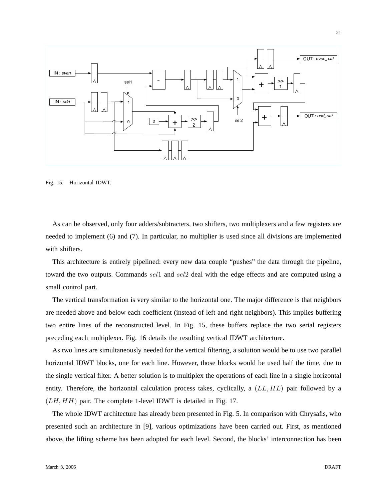

Fig. 15. Horizontal IDWT.

As can be observed, only four adders/subtracters, two shifters, two multiplexers and a few registers are needed to implement (6) and (7). In particular, no multiplier is used since all divisions are implemented with shifters.

This architecture is entirely pipelined: every new data couple "pushes" the data through the pipeline, toward the two outputs. Commands sell and sell deal with the edge effects and are computed using a small control part.

The vertical transformation is very similar to the horizontal one. The major difference is that neighbors are needed above and below each coefficient (instead of left and right neighbors). This implies buffering two entire lines of the reconstructed level. In Fig. 15, these buffers replace the two serial registers preceding each multiplexer. Fig. 16 details the resulting vertical IDWT architecture.

As two lines are simultaneously needed for the vertical filtering, a solution would be to use two parallel horizontal IDWT blocks, one for each line. However, those blocks would be used half the time, due to the single vertical filter. A better solution is to multiplex the operations of each line in a single horizontal entity. Therefore, the horizontal calculation process takes, cyclically, a  $(LL, HL)$  pair followed by a  $(LH, HH)$  pair. The complete 1-level IDWT is detailed in Fig. 17.

The whole IDWT architecture has already been presented in Fig. 5. In comparison with Chrysafis, who presented such an architecture in [9], various optimizations have been carried out. First, as mentioned above, the lifting scheme has been adopted for each level. Second, the blocks' interconnection has been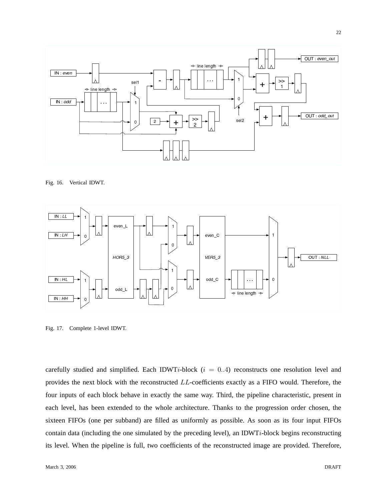

Fig. 16. Vertical IDWT.



Fig. 17. Complete 1-level IDWT.

carefully studied and simplified. Each IDWTi-block  $(i = 0..4)$  reconstructs one resolution level and provides the next block with the reconstructed LL-coefficients exactly as a FIFO would. Therefore, the four inputs of each block behave in exactly the same way. Third, the pipeline characteristic, present in each level, has been extended to the whole architecture. Thanks to the progression order chosen, the sixteen FIFOs (one per subband) are filled as uniformly as possible. As soon as its four input FIFOs contain data (including the one simulated by the preceding level), an IDWT $i$ -block begins reconstructing its level. When the pipeline is full, two coefficients of the reconstructed image are provided. Therefore,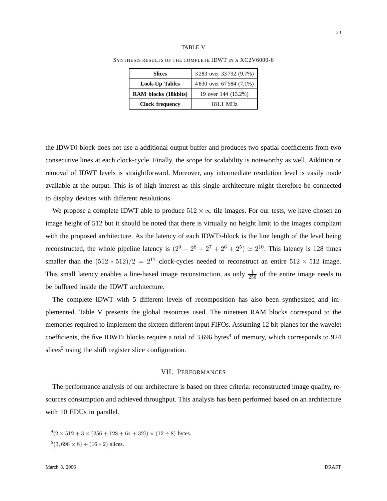#### TABLE V

| <b>Slices</b>          | 3283 over 33792 (9.7%)   |  |
|------------------------|--------------------------|--|
| Look-Up Tables         | 4 830 over 67 584 (7.1%) |  |
| RAM blocks (18kbits)   | 19 over 144 (13.2%)      |  |
| <b>Clock frequency</b> | 181.1 MHz                |  |

SYNTHESIS RESULTS OF THE COMPLETE IDWT IN A XC2V6000-6

the IDWT0-block does not use a additional output buffer and produces two spatial coefficients from two consecutive lines at each clock-cycle. Finally, the scope for scalability is noteworthy as well. Addition or removal of IDWT levels is straightforward. Moreover, any intermediate resolution level is easily made available at the output. This is of high interest as this single architecture might therefore be connected to display devices with different resolutions.

We propose a complete IDWT able to produce  $512 \times \infty$  tile images. For our tests, we have chosen an image height of 512 but it should be noted that there is virtually no height limit to the images compliant with the proposed architecture. As the latency of each IDWTi-block is the line length of the level being reconstructed, the whole pipeline latency is  $(2^9 + 2^8 + 2^7 + 2^6 + 2^5) \simeq 2^{10}$ . This latency is 128 times smaller than the  $(512 * 512)/2 = 2^{17}$  clock-cycles needed to reconstruct an entire  $512 \times 512$  image. This small latency enables a line-based image reconstruction, as only  $\frac{1}{256}$  of the entire image needs to be buffered inside the IDWT architecture.

The complete IDWT with 5 different levels of recomposition has also been synthesized and implemented. Table V presents the global resources used. The nineteen RAM blocks correspond to the memories required to implement the sixteen different input FIFOs. Assuming 12 bit-planes for the wavelet coefficients, the five IDWTi blocks require a total of  $3,696$  bytes<sup>4</sup> of memory, which corresponds to 924 slices<sup>5</sup> using the shift register slice configuration.

## VII. PERFORMANCES

The performance analysis of our architecture is based on three criteria: reconstructed image quality, resources consumption and achieved throughput. This analysis has been performed based on an architecture with 10 EDUs in parallel.

 $(4(2 \times 512 + 3 \times (256 + 128 + 64 + 32)) \times (12 \div 8)$  bytes.  $5(3,696 \times 8) \div (16 * 2)$  slices.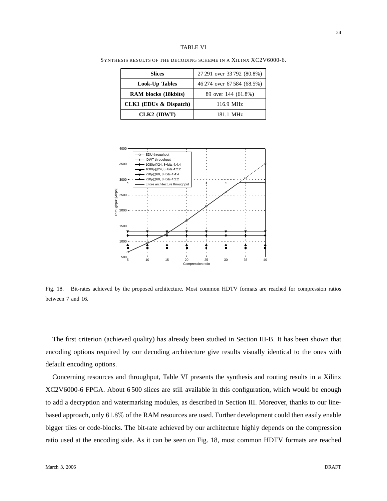| <b>Slices</b>               | 27 291 over 33 792 (80.8%) |  |
|-----------------------------|----------------------------|--|
| <b>Look-Up Tables</b>       | 46 274 over 67 584 (68.5%) |  |
| <b>RAM</b> blocks (18kbits) | 89 over 144 (61.8%)        |  |
| CLK1 (EDUs & Dispatch)      | 116.9 MHz                  |  |
| CLK2 (IDWT)                 | 181.1 MHz                  |  |

SYNTHESIS RESULTS OF THE DECODING SCHEME IN A XILINX XC2V6000-6.



Fig. 18. Bit-rates achieved by the proposed architecture. Most common HDTV formats are reached for compression ratios between 7 and 16.

The first criterion (achieved quality) has already been studied in Section III-B. It has been shown that encoding options required by our decoding architecture give results visually identical to the ones with default encoding options.

Concerning resources and throughput, Table VI presents the synthesis and routing results in a Xilinx XC2V6000-6 FPGA. About 6 500 slices are still available in this configuration, which would be enough to add a decryption and watermarking modules, as described in Section III. Moreover, thanks to our linebased approach, only 61.8% of the RAM resources are used. Further development could then easily enable bigger tiles or code-blocks. The bit-rate achieved by our architecture highly depends on the compression ratio used at the encoding side. As it can be seen on Fig. 18, most common HDTV formats are reached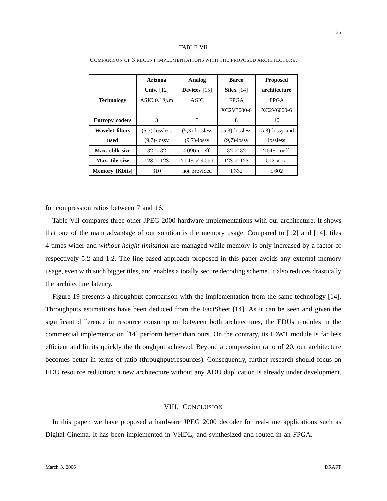|                        | Arizona           | Analog               | <b>Barco</b>      | <b>Proposed</b>     |
|------------------------|-------------------|----------------------|-------------------|---------------------|
|                        | <b>Univ.</b> [12] | Devices $[15]$       | Silex $[14]$      | architecture        |
| <b>Technology</b>      | ASIC $0.18 \mu m$ | <b>ASIC</b>          | <b>FPGA</b>       | <b>FPGA</b>         |
|                        |                   |                      | XC2V3000-6        | XC2V6000-6          |
| <b>Entropy coders</b>  | 3                 | 3                    | 8                 | 10                  |
| <b>Wavelet filters</b> | $(5.3)$ -lossless | $(5.3)$ -lossless    | $(5,3)$ -lossless | $(5,3)$ lossy and   |
| used                   | $(9,7)$ -lossy    | $(9,7)$ -lossy       | $(9,7)$ -lossy    | lossless            |
| Max. chlk size         | $32 \times 32$    | $4096$ coeff.        | $32 \times 32$    | 2048 coeff.         |
| Max. tile size         | $128 \times 128$  | $2.048 \times 4.096$ | $128 \times 128$  | $512 \times \infty$ |
| <b>Memory</b> [Kbits]  | 310               | not provided         | 1332              | 1602                |

for compression ratios between 7 and 16.

Table VII compares three other JPEG 2000 hardware implementations with our architecture. It shows that one of the main advantage of our solution is the memory usage. Compared to [12] and [14], tiles 4 times wider and *without height limitation* are managed while memory is only increased by a factor of respectively 5.2 and 1.2. The line-based approach proposed in this paper avoids any external memory usage, even with such bigger tiles, and enables a totally secure decoding scheme. It also reduces drastically the architecture latency.

Figure 19 presents a throughput comparison with the implementation from the same technology [14]. Throughputs estimations have been deduced from the FactSheet [14]. As it can be seen and given the significant difference in resource consumption between both architectures, the EDUs modules in the commercial implementation [14] perform better than ours. On the contrary, its IDWT module is far less efficient and limits quickly the throughput achieved. Beyond a compression ratio of 20, our architecture becomes better in terms of ratio (throughput/resources). Consequently, further research should focus on EDU resource reduction: a new architecture without any ADU duplication is already under development.

# VIII. CONCLUSION

In this paper, we have proposed a hardware JPEG 2000 decoder for real-time applications such as Digital Cinema. It has been implemented in VHDL, and synthesized and routed in an FPGA.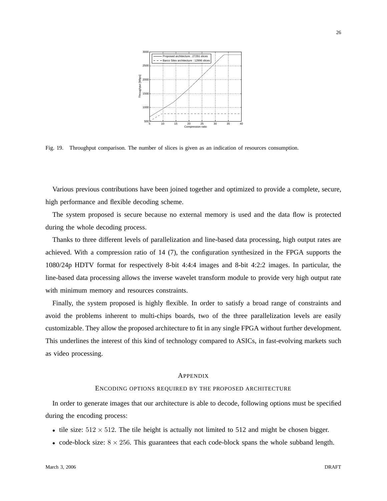

Fig. 19. Throughput comparison. The number of slices is given as an indication of resources consumption.

Various previous contributions have been joined together and optimized to provide a complete, secure, high performance and flexible decoding scheme.

The system proposed is secure because no external memory is used and the data flow is protected during the whole decoding process.

Thanks to three different levels of parallelization and line-based data processing, high output rates are achieved. With a compression ratio of 14 (7), the configuration synthesized in the FPGA supports the 1080/24p HDTV format for respectively 8-bit 4:4:4 images and 8-bit 4:2:2 images. In particular, the line-based data processing allows the inverse wavelet transform module to provide very high output rate with minimum memory and resources constraints.

Finally, the system proposed is highly flexible. In order to satisfy a broad range of constraints and avoid the problems inherent to multi-chips boards, two of the three parallelization levels are easily customizable. They allow the proposed architecture to fit in any single FPGA without further development. This underlines the interest of this kind of technology compared to ASICs, in fast-evolving markets such as video processing.

## APPENDIX

## ENCODING OPTIONS REQUIRED BY THE PROPOSED ARCHITECTURE

In order to generate images that our architecture is able to decode, following options must be specified during the encoding process:

- tile size:  $512 \times 512$ . The tile height is actually not limited to 512 and might be chosen bigger.
- code-block size:  $8 \times 256$ . This guarantees that each code-block spans the whole subband length.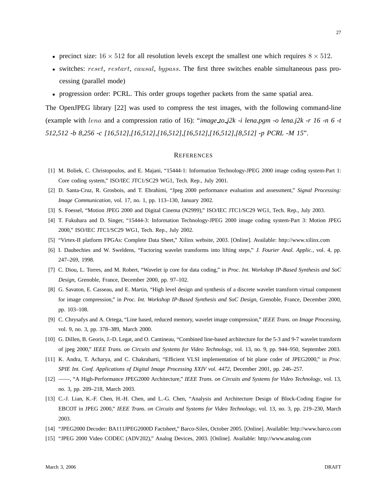- precinct size:  $16 \times 512$  for all resolution levels except the smallest one which requires  $8 \times 512$ .
- switches: reset, restart, causal, bypass. The first three switches enable simultaneous pass processing (parallel mode)
- progression order: PCRL. This order groups together packets from the same spatial area.

The OpenJPEG library [22] was used to compress the test images, with the following command-line (example with lena and a compression ratio of 16): "*image to j2k -i lena.pgm -o lena.j2k -r 16 -n 6 -t 512,512 -b 8,256 -c [16,512],[16,512],[16,512],[16,512],[16,512],[8,512] -p PCRL -M 15*".

#### **REFERENCES**

- [1] M. Boliek, C. Christopoulos, and E. Majani, "15444-1: Information Technology-JPEG 2000 image coding system-Part 1: Core coding system," ISO/IEC JTC1/SC29 WG1, Tech. Rep., July 2001.
- [2] D. Santa-Cruz, R. Grosbois, and T. Ebrahimi, "Jpeg 2000 performance evaluation and assessment," *Signal Processing: Image Communication*, vol. 17, no. 1, pp. 113–130, January 2002.
- [3] S. Foessel, "Motion JPEG 2000 and Digital Cinema (N2999)," ISO/IEC JTC1/SC29 WG1, Tech. Rep., July 2003.
- [4] T. Fukuhara and D. Singer, "15444-3: Information Technology-JPEG 2000 image coding system-Part 3: Motion JPEG 2000," ISO/IEC JTC1/SC29 WG1, Tech. Rep., July 2002.
- [5] "Virtex-II platform FPGAs: Complete Data Sheet," Xilinx website, 2003. [Online]. Available: http://www.xilinx.com
- [6] I. Daubechies and W. Sweldens, "Factoring wavelet transforms into lifting steps," *J. Fourier Anal. Applic.*, vol. 4, pp. 247–269, 1998.
- [7] C. Diou, L. Torres, and M. Robert, "Wavelet ip core for data coding," in *Proc. Int. Workshop IP-Based Synthesis and SoC Design*, Grenoble, France, December 2000, pp. 97–102.
- [8] G. Savaton, E. Casseau, and E. Martin, "High level design and synthesis of a discrete wavelet transform virtual component for image compression," in *Proc. Int. Workshop IP-Based Synthesis and SoC Design*, Grenoble, France, December 2000, pp. 103–108.
- [9] C. Chrysafys and A. Ortega, "Line based, reduced memory, wavelet image compression," *IEEE Trans. on Image Processing*, vol. 9, no. 3, pp. 378–389, March 2000.
- [10] G. Dillen, B. Georis, J.-D. Legat, and O. Cantineau, "Combined line-based architecture for the 5-3 and 9-7 wavelet transform of jpeg 2000," *IEEE Trans. on Circuits and Systems for Video Technology*, vol. 13, no. 9, pp. 944–950, September 2003.
- [11] K. Andra, T. Acharya, and C. Chakrabarti, "Efficient VLSI implementation of bit plane coder of JPEG2000," in *Proc. SPIE Int. Conf. Applications of Digital Image Processing XXIV vol. 4472*, December 2001, pp. 246–257.
- [12] ——, "A High-Performance JPEG2000 Architecture," *IEEE Trans. on Circuits and Systems for Video Technology*, vol. 13, no. 3, pp. 209–218, March 2003.
- [13] C.-J. Lian, K.-F. Chen, H.-H. Chen, and L.-G. Chen, "Analysis and Architecture Design of Block-Coding Engine for EBCOT in JPEG 2000," *IEEE Trans. on Circuits and Systems for Video Technology*, vol. 13, no. 3, pp. 219–230, March 2003.
- [14] "JPEG2000 Decoder: BA111JPEG2000D Factsheet," Barco-Silex, October 2005. [Online]. Available: http://www.barco.com
- [15] "JPEG 2000 Video CODEC (ADV202)," Analog Devices, 2003. [Online]. Available: http://www.analog.com